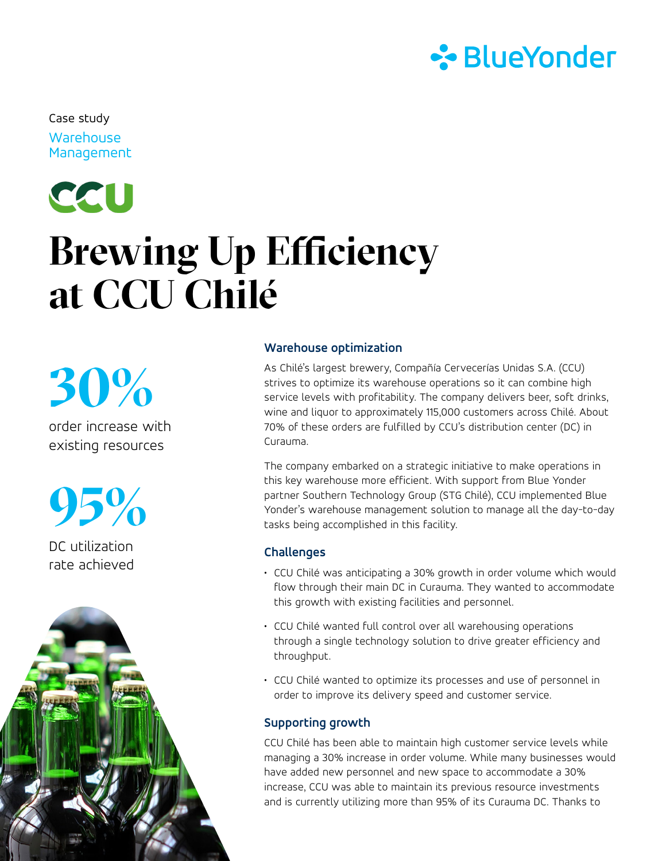

**Warehouse Management** Case study

# CCU **Brewing Up Efficiency at CCU Chilé**

**30%**

order increase with existing resources

**95%**

DC utilization rate achieved



### **Warehouse optimization**

As Chilé's largest brewery, Compañía Cervecerías Unidas S.A. (CCU) strives to optimize its warehouse operations so it can combine high service levels with profitability. The company delivers beer, soft drinks, wine and liquor to approximately 115,000 customers across Chilé. About 70% of these orders are fulfilled by CCU's distribution center (DC) in Curauma.

The company embarked on a strategic initiative to make operations in this key warehouse more efficient. With support from Blue Yonder partner Southern Technology Group (STG Chilé), CCU implemented Blue Yonder's warehouse management solution to manage all the day-to-day tasks being accomplished in this facility.

#### **Challenges**

- CCU Chilé was anticipating a 30% growth in order volume which would flow through their main DC in Curauma. They wanted to accommodate this growth with existing facilities and personnel.
- CCU Chilé wanted full control over all warehousing operations through a single technology solution to drive greater efficiency and throughput.
- CCU Chilé wanted to optimize its processes and use of personnel in order to improve its delivery speed and customer service.

# **Supporting growth**

CCU Chilé has been able to maintain high customer service levels while managing a 30% increase in order volume. While many businesses would have added new personnel and new space to accommodate a 30% increase, CCU was able to maintain its previous resource investments and is currently utilizing more than 95% of its Curauma DC. Thanks to